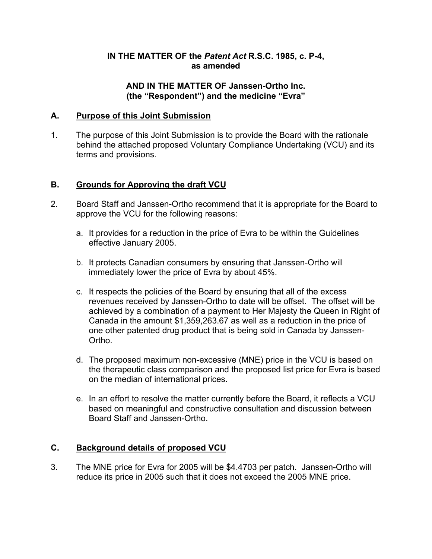### **IN THE MATTER OF the** *Patent Act* **R.S.C. 1985, c. P-4, as amended**

### **AND IN THE MATTER OF Janssen-Ortho Inc. (the "Respondent") and the medicine "Evra"**

### **A. Purpose of this Joint Submission**

1. The purpose of this Joint Submission is to provide the Board with the rationale behind the attached proposed Voluntary Compliance Undertaking (VCU) and its terms and provisions.

# **B. Grounds for Approving the draft VCU**

- 2. Board Staff and Janssen-Ortho recommend that it is appropriate for the Board to approve the VCU for the following reasons:
	- a. It provides for a reduction in the price of Evra to be within the Guidelines effective January 2005.
	- b. It protects Canadian consumers by ensuring that Janssen-Ortho will immediately lower the price of Evra by about 45%.
	- c. It respects the policies of the Board by ensuring that all of the excess revenues received by Janssen-Ortho to date will be offset. The offset will be achieved by a combination of a payment to Her Majesty the Queen in Right of Canada in the amount \$1,359,263.67 as well as a reduction in the price of one other patented drug product that is being sold in Canada by Janssen-Ortho.
	- d. The proposed maximum non-excessive (MNE) price in the VCU is based on the therapeutic class comparison and the proposed list price for Evra is based on the median of international prices.
	- e. In an effort to resolve the matter currently before the Board, it reflects a VCU based on meaningful and constructive consultation and discussion between Board Staff and Janssen-Ortho.

# **C. Background details of proposed VCU**

3. The MNE price for Evra for 2005 will be \$4.4703 per patch. Janssen-Ortho will reduce its price in 2005 such that it does not exceed the 2005 MNE price.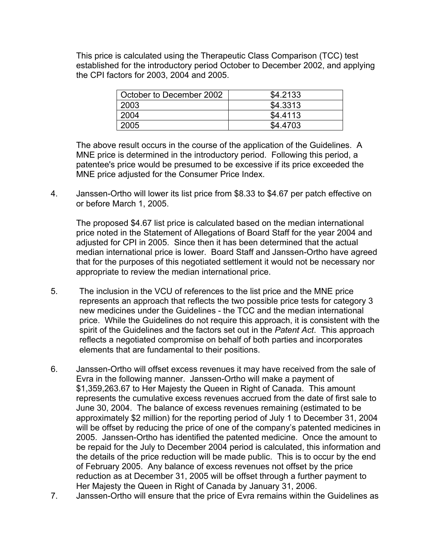This price is calculated using the Therapeutic Class Comparison (TCC) test established for the introductory period October to December 2002, and applying the CPI factors for 2003, 2004 and 2005.

| October to December 2002 | \$4.2133 |
|--------------------------|----------|
| 2003                     | \$4.3313 |
| 2004                     | \$4,4113 |
| 2005                     | \$4,4703 |

The above result occurs in the course of the application of the Guidelines. A MNE price is determined in the introductory period. Following this period, a patentee's price would be presumed to be excessive if its price exceeded the MNE price adjusted for the Consumer Price Index.

4. Janssen-Ortho will lower its list price from \$8.33 to \$4.67 per patch effective on or before March 1, 2005.

 The proposed \$4.67 list price is calculated based on the median international price noted in the Statement of Allegations of Board Staff for the year 2004 and adjusted for CPI in 2005. Since then it has been determined that the actual median international price is lower. Board Staff and Janssen-Ortho have agreed that for the purposes of this negotiated settlement it would not be necessary nor appropriate to review the median international price.

- 5. The inclusion in the VCU of references to the list price and the MNE price represents an approach that reflects the two possible price tests for category 3 new medicines under the Guidelines - the TCC and the median international price. While the Guidelines do not require this approach, it is consistent with the spirit of the Guidelines and the factors set out in the *Patent Act*. This approach reflects a negotiated compromise on behalf of both parties and incorporates elements that are fundamental to their positions.
- 6. Janssen-Ortho will offset excess revenues it may have received from the sale of Evra in the following manner. Janssen-Ortho will make a payment of \$1,359,263.67 to Her Majesty the Queen in Right of Canada. This amount represents the cumulative excess revenues accrued from the date of first sale to June 30, 2004. The balance of excess revenues remaining (estimated to be approximately \$2 million) for the reporting period of July 1 to December 31, 2004 will be offset by reducing the price of one of the company's patented medicines in 2005. Janssen-Ortho has identified the patented medicine. Once the amount to be repaid for the July to December 2004 period is calculated, this information and the details of the price reduction will be made public. This is to occur by the end of February 2005. Any balance of excess revenues not offset by the price reduction as at December 31, 2005 will be offset through a further payment to Her Majesty the Queen in Right of Canada by January 31, 2006.
- 7. Janssen-Ortho will ensure that the price of Evra remains within the Guidelines as